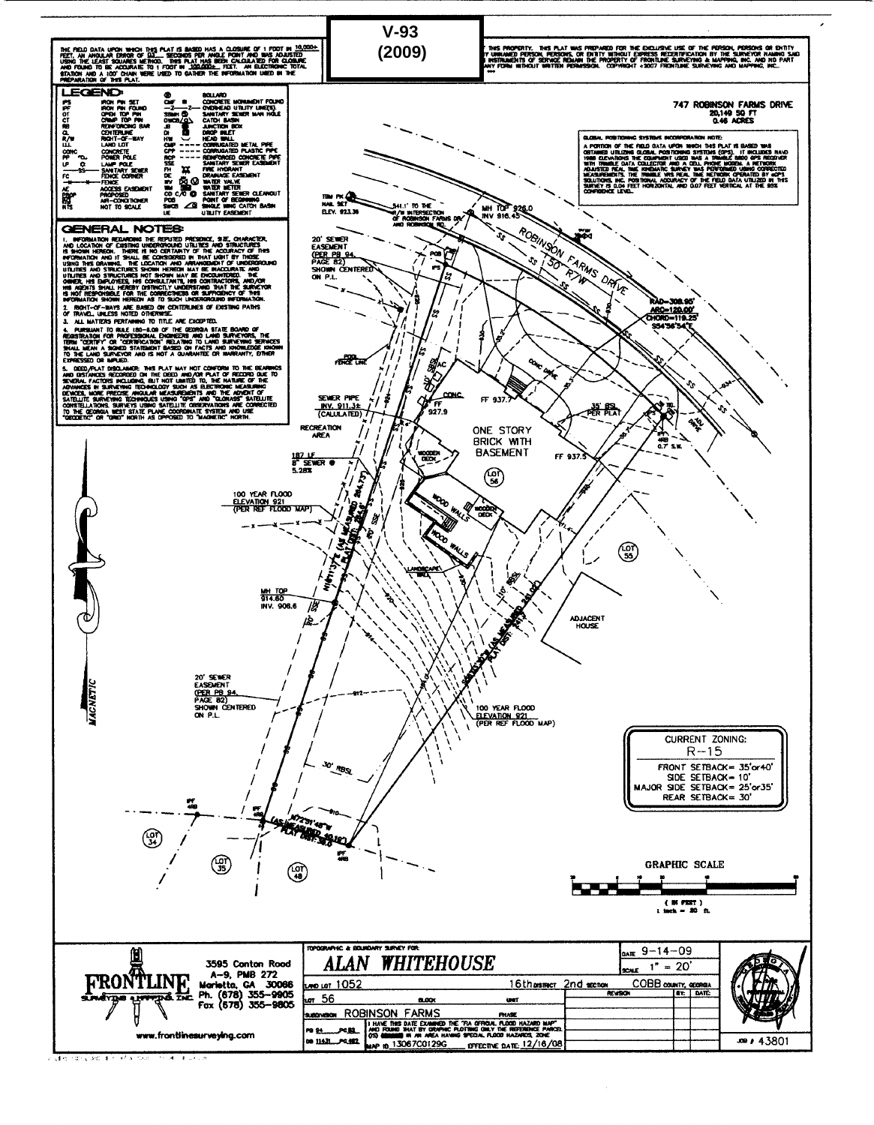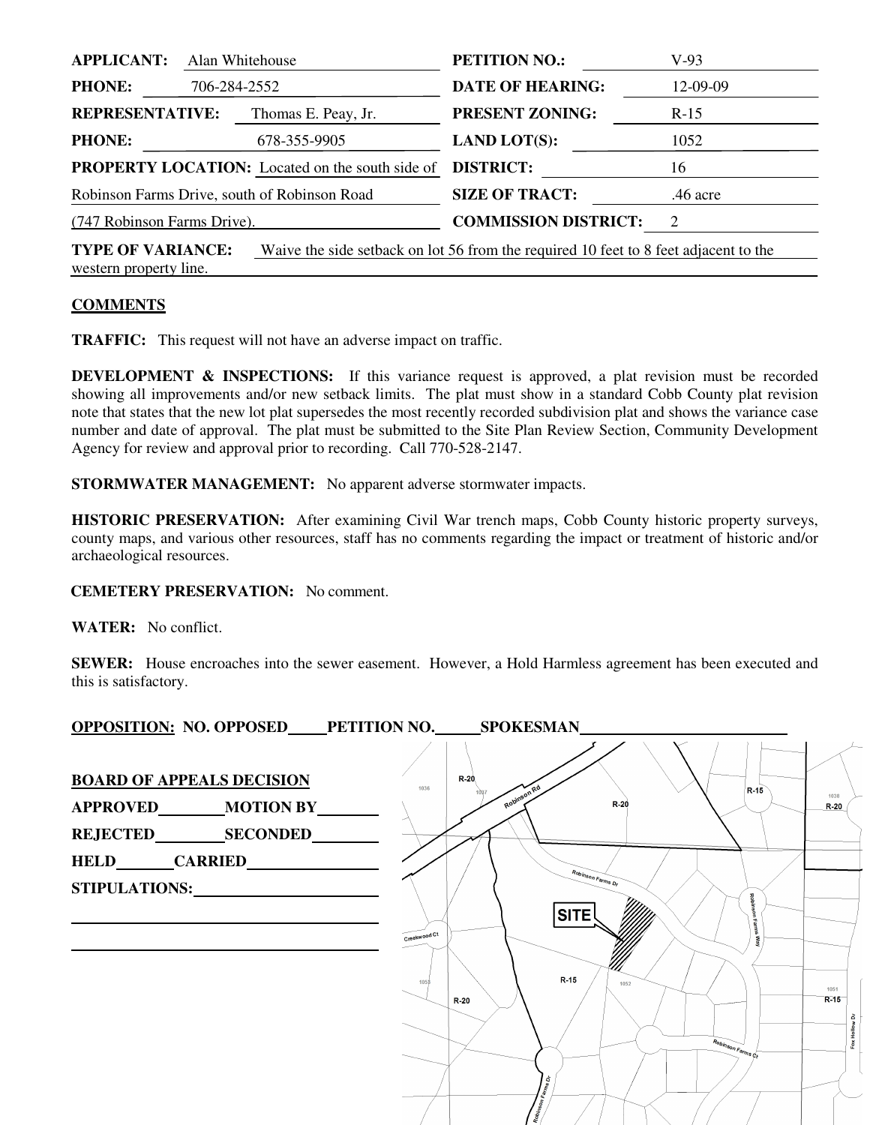| <b>APPLICANT:</b><br>Alan Whitehouse                                                                                                       | <b>PETITION NO.:</b>        | $V-93$     |  |  |
|--------------------------------------------------------------------------------------------------------------------------------------------|-----------------------------|------------|--|--|
| <b>PHONE:</b><br>706-284-2552                                                                                                              | <b>DATE OF HEARING:</b>     | 12-09-09   |  |  |
| <b>REPRESENTATIVE:</b><br>Thomas E. Peay, Jr.                                                                                              | <b>PRESENT ZONING:</b>      | $R-15$     |  |  |
| <b>PHONE:</b><br>678-355-9905                                                                                                              | <b>LAND LOT(S):</b>         | 1052       |  |  |
| <b>PROPERTY LOCATION:</b> Located on the south side of                                                                                     | <b>DISTRICT:</b>            | 16         |  |  |
| Robinson Farms Drive, south of Robinson Road                                                                                               | <b>SIZE OF TRACT:</b>       | $.46$ acre |  |  |
| (747 Robinson Farms Drive).                                                                                                                | <b>COMMISSION DISTRICT:</b> | 2          |  |  |
| <b>TYPE OF VARIANCE:</b><br>Waive the side setback on lot 56 from the required 10 feet to 8 feet adjacent to the<br>western property line. |                             |            |  |  |

## **COMMENTS**

**TRAFFIC:** This request will not have an adverse impact on traffic.

**DEVELOPMENT & INSPECTIONS:** If this variance request is approved, a plat revision must be recorded showing all improvements and/or new setback limits. The plat must show in a standard Cobb County plat revision note that states that the new lot plat supersedes the most recently recorded subdivision plat and shows the variance case number and date of approval. The plat must be submitted to the Site Plan Review Section, Community Development Agency for review and approval prior to recording. Call 770-528-2147.

**STORMWATER MANAGEMENT:** No apparent adverse stormwater impacts.

**HISTORIC PRESERVATION:** After examining Civil War trench maps, Cobb County historic property surveys, county maps, and various other resources, staff has no comments regarding the impact or treatment of historic and/or archaeological resources.

## **CEMETERY PRESERVATION:** No comment.

**WATER:** No conflict.

**SEWER:** House encroaches into the sewer easement. However, a Hold Harmless agreement has been executed and this is satisfactory.

**OPPOSITION: NO. OPPOSED PETITION NO. SPOKESMAN**   $R-20$ **BOARD OF APPEALS DECISION** 1036  $R-15$ Robin **APPROVED MOTION BY**   $R-20$  $R-20$ **REJECTED SECONDED HELD CARRIED**  Robinson Farms Dr **STIPULATIONS: SITE** Creekwood Ct  $R-15$ 1051  $R-20$  $R-15$ Fox Hollow Dr å,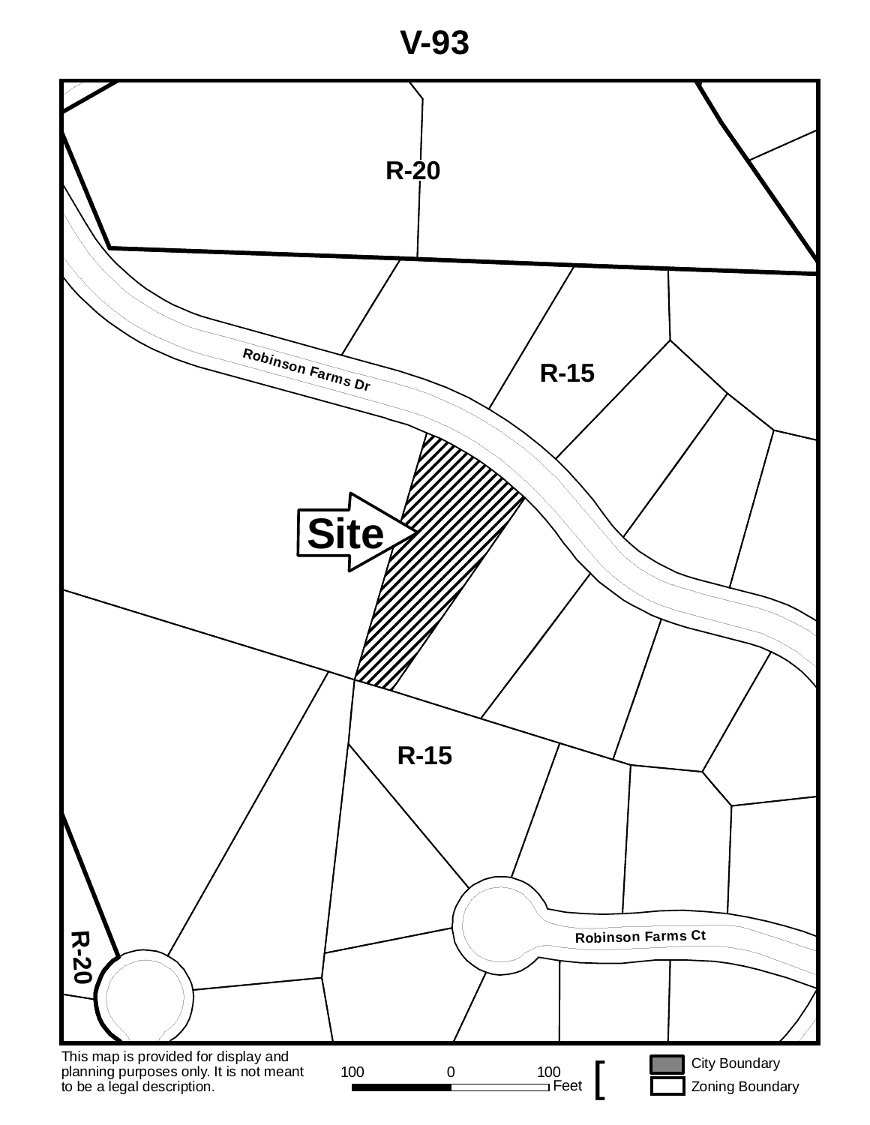